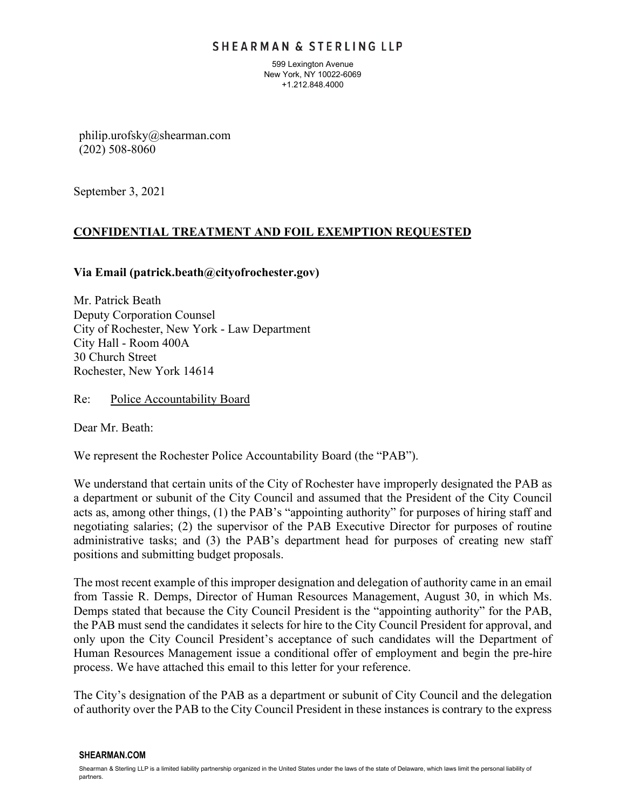## SHEARMAN & STERLING LLP

599 Lexington Avenue New York, NY 10022-6069 +1.212.848.4000

philip.urofsky@shearman.com (202) 508-8060

September 3, 2021

# **CONFIDENTIAL TREATMENT AND FOIL EXEMPTION REQUESTED**

### **Via Email (patrick.beath@cityofrochester.gov)**

Mr. Patrick Beath Deputy Corporation Counsel City of Rochester, New York - Law Department City Hall - Room 400A 30 Church Street Rochester, New York 14614

Re: Police Accountability Board

Dear Mr. Beath:

We represent the Rochester Police Accountability Board (the "PAB").

We understand that certain units of the City of Rochester have improperly designated the PAB as a department or subunit of the City Council and assumed that the President of the City Council acts as, among other things, (1) the PAB's "appointing authority" for purposes of hiring staff and negotiating salaries; (2) the supervisor of the PAB Executive Director for purposes of routine administrative tasks; and (3) the PAB's department head for purposes of creating new staff positions and submitting budget proposals.

The most recent example of this improper designation and delegation of authority came in an email from Tassie R. Demps, Director of Human Resources Management, August 30, in which Ms. Demps stated that because the City Council President is the "appointing authority" for the PAB, the PAB must send the candidates it selects for hire to the City Council President for approval, and only upon the City Council President's acceptance of such candidates will the Department of Human Resources Management issue a conditional offer of employment and begin the pre-hire process. We have attached this email to this letter for your reference.

The City's designation of the PAB as a department or subunit of City Council and the delegation of authority over the PAB to the City Council President in these instances is contrary to the express

#### **SHEARMAN.COM**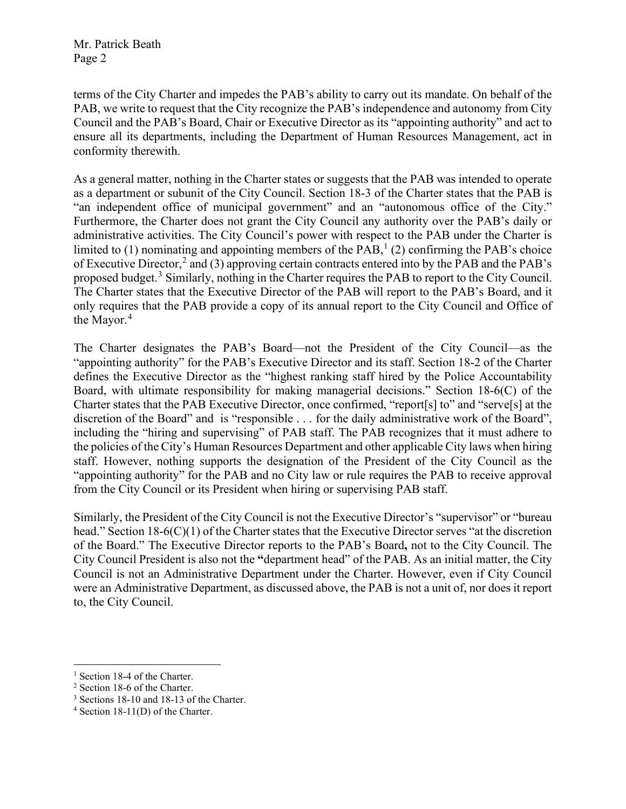terms of the City Charter and impedes the PAB's ability to carry out its mandate. On behalf of the PAB, we write to request that the City recognize the PAB's independence and autonomy from City Council and the PAB's Board, Chair or Executive Director as its "appointing authority" and act to ensure all its departments, including the Department of Human Resources Management, act in conformity therewith.

As a general matter, nothing in the Charter states or suggests that the PAB was intended to operate as a department or subunit of the City Council. Section 18-3 of the Charter states that the PAB is "an independent office of municipal government" and an "autonomous office of the City." Furthermore, the Charter does not grant the City Council any authority over the PAB's daily or administrative activities. The City Council's power with respect to the PAB under the Charter is limited to ([1](#page-1-0)) nominating and appointing members of the PAB, $1$  (2) confirming the PAB's choice of Executive Director,<sup>[2](#page-1-1)</sup> and (3) approving certain contracts entered into by the PAB and the PAB's proposed budget.<sup>[3](#page-1-2)</sup> Similarly, nothing in the Charter requires the PAB to report to the City Council. The Charter states that the Executive Director of the PAB will report to the PAB's Board, and it only requires that the PAB provide a copy of its annual report to the City Council and Office of the Mayor. [4](#page-1-3)

The Charter designates the PAB's Board—not the President of the City Council—as the "appointing authority" for the PAB's Executive Director and its staff. Section 18-2 of the Charter defines the Executive Director as the "highest ranking staff hired by the Police Accountability Board, with ultimate responsibility for making managerial decisions." Section 18-6(C) of the Charter states that the PAB Executive Director, once confirmed, "report[s] to" and "serve[s] at the discretion of the Board" and is "responsible . . . for the daily administrative work of the Board", including the "hiring and supervising" of PAB staff. The PAB recognizes that it must adhere to the policies of the City's Human Resources Department and other applicable City laws when hiring staff. However, nothing supports the designation of the President of the City Council as the "appointing authority" for the PAB and no City law or rule requires the PAB to receive approval from the City Council or its President when hiring or supervising PAB staff.

Similarly, the President of the City Council is not the Executive Director's "supervisor" or "bureau head." Section 18-6(C)(1) of the Charter states that the Executive Director serves "at the discretion of the Board." The Executive Director reports to the PAB's Board**,** not to the City Council. The City Council President is also not the **"**department head" of the PAB. As an initial matter, the City Council is not an Administrative Department under the Charter. However, even if City Council were an Administrative Department, as discussed above, the PAB is not a unit of, nor does it report to, the City Council.

<span id="page-1-0"></span><sup>&</sup>lt;sup>1</sup> Section 18-4 of the Charter.

<span id="page-1-1"></span><sup>2</sup> Section 18-6 of the Charter.

<span id="page-1-2"></span><sup>3</sup> Sections 18-10 and 18-13 of the Charter.

<span id="page-1-3"></span><sup>4</sup> Section 18-11(D) of the Charter.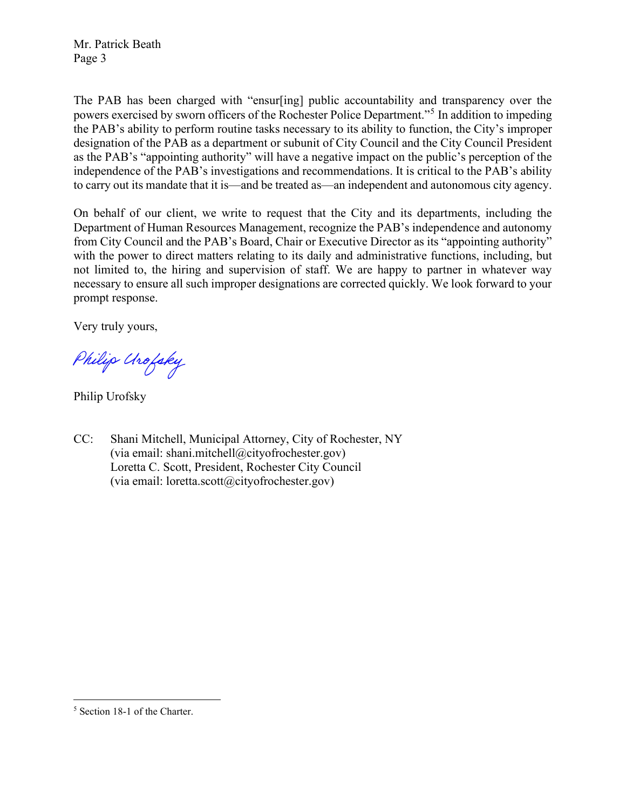Mr. Patrick Beath Page 3

The PAB has been charged with "ensur[ing] public accountability and transparency over the powers exercised by sworn officers of the Rochester Police Department."[5](#page-2-0) In addition to impeding the PAB's ability to perform routine tasks necessary to its ability to function, the City's improper designation of the PAB as a department or subunit of City Council and the City Council President as the PAB's "appointing authority" will have a negative impact on the public's perception of the independence of the PAB's investigations and recommendations. It is critical to the PAB's ability to carry out its mandate that it is—and be treated as—an independent and autonomous city agency.

On behalf of our client, we write to request that the City and its departments, including the Department of Human Resources Management, recognize the PAB's independence and autonomy from City Council and the PAB's Board, Chair or Executive Director as its "appointing authority" with the power to direct matters relating to its daily and administrative functions, including, but not limited to, the hiring and supervision of staff. We are happy to partner in whatever way necessary to ensure all such improper designations are corrected quickly. We look forward to your prompt response.

Very truly yours,

Philip Urofsky

Philip Urofsky

CC: Shani Mitchell, Municipal Attorney, City of Rochester, NY (via email: shani.mitchell@cityofrochester.gov) Loretta C. Scott, President, Rochester City Council (via email: loretta.scott@cityofrochester.gov)

<span id="page-2-0"></span><sup>5</sup> Section 18-1 of the Charter.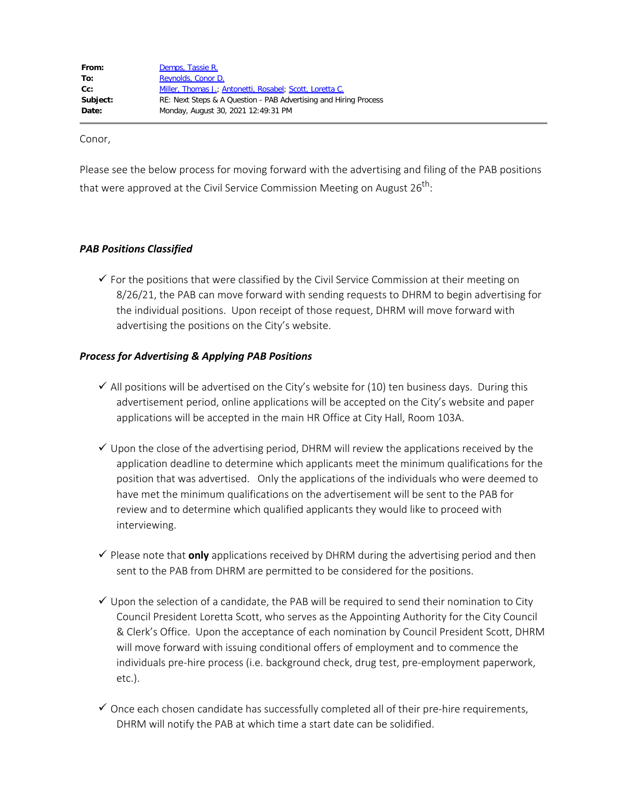Conor,

Please see the below process for moving forward with the advertising and filing of the PAB positions that were approved at the Civil Service Commission Meeting on August  $26<sup>th</sup>$ :

### *PAB Positions Classified*

 $\checkmark$  For the positions that were classified by the Civil Service Commission at their meeting on 8/26/21, the PAB can move forward with sending requests to DHRM to begin advertising for the individual positions. Upon receipt of those request, DHRM will move forward with advertising the positions on the City's website.

## *Process for Advertising & Applying PAB Positions*

- $\checkmark$  All positions will be advertised on the City's website for (10) ten business days. During this advertisement period, online applications will be accepted on the City's website and paper applications will be accepted in the main HR Office at City Hall, Room 103A.
- $\checkmark$  Upon the close of the advertising period, DHRM will review the applications received by the application deadline to determine which applicants meet the minimum qualifications for the position that was advertised. Only the applications of the individuals who were deemed to have met the minimum qualifications on the advertisement will be sent to the PAB for review and to determine which qualified applicants they would like to proceed with interviewing.
- $\checkmark$  Please note that **only** applications received by DHRM during the advertising period and then sent to the PAB from DHRM are permitted to be considered for the positions.
- $\checkmark$  Upon the selection of a candidate, the PAB will be required to send their nomination to City Council President Loretta Scott, who serves as the Appointing Authority for the City Council & Clerk's Office. Upon the acceptance of each nomination by Council President Scott, DHRM will move forward with issuing conditional offers of employment and to commence the individuals pre-hire process (i.e. background check, drug test, pre-employment paperwork, etc.).
- $\checkmark$  Once each chosen candidate has successfully completed all of their pre-hire requirements, DHRM will notify the PAB at which time a start date can be solidified.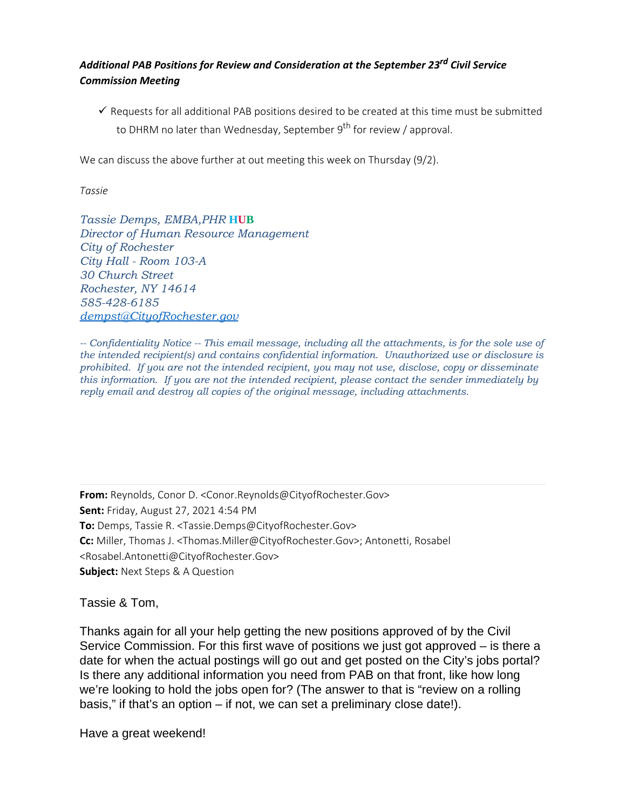# *Additional PAB Positions for Review and Consideration at the September 23rd Civil Service Commission Meeting*

 $\checkmark$  Requests for all additional PAB positions desired to be created at this time must be submitted to DHRM no later than Wednesday, September 9<sup>th</sup> for review / approval.

We can discuss the above further at out meeting this week on Thursday (9/2).

*Tassie*

*Tassie Demps, EMBA,PHR* **HUB** *Director of Human Resource Management City of Rochester City Hall - Room 103-A 30 Church Street Rochester, NY 14614 585-428-6185 dempst@CityofRochester.gov*

*-- Confidentiality Notice -- This email message, including all the attachments, is for the sole use of the intended recipient(s) and contains confidential information. Unauthorized use or disclosure is prohibited. If you are not the intended recipient, you may not use, disclose, copy or disseminate this information. If you are not the intended recipient, please contact the sender immediately by reply email and destroy all copies of the original message, including attachments.*

**From:** Reynolds, Conor D. <Conor.Reynolds@CityofRochester.Gov> **Sent:** Friday, August 27, 2021 4:54 PM **To:** Demps, Tassie R. <Tassie.Demps@CityofRochester.Gov> **Cc:** Miller, Thomas J. <Thomas.Miller@CityofRochester.Gov>; Antonetti, Rosabel <Rosabel.Antonetti@CityofRochester.Gov> **Subject:** Next Steps & A Question

Tassie & Tom,

Thanks again for all your help getting the new positions approved of by the Civil Service Commission. For this first wave of positions we just got approved – is there a date for when the actual postings will go out and get posted on the City's jobs portal? Is there any additional information you need from PAB on that front, like how long we're looking to hold the jobs open for? (The answer to that is "review on a rolling basis," if that's an option – if not, we can set a preliminary close date!).

Have a great weekend!